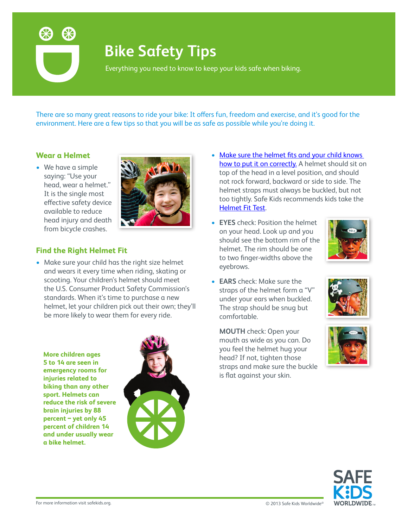

# **Bike Safety Tips**

Everything you need to know to keep your kids safe when biking.

There are so many great reasons to ride your bike: It offers fun, freedom and exercise, and it's good for the environment. Here are a few tips so that you will be as safe as possible while you're doing it.

#### **Wear a Helmet**

• We have a simple saying: "Use your head, wear a helmet." It is the single most effective safety device available to reduce head injury and death from bicycle crashes.



### **Find the Right Helmet Fit**

- Make sure your child has the right size helmet and wears it every time when riding, skating or scooting. Your children's helmet should meet the U.S. Consumer Product Safety Commission's standards. When it's time to purchase a new helmet, let your children pick out their own; they'll be more likely to wear them for every ride.
	- **More children ages 5 to 14 are seen in emergency rooms for injuries related to biking than any other sport. Helmets can reduce the risk of severe brain injuries by 88 percent – yet only 45 percent of children 14 and under usually wear a bike helmet.**



- Make sure the helmet fits and your child knows [how to put it on correctly](http://www.safekids.org/tip/helmet-fit-test-2013). A helmet should sit on top of the head in a level position, and should not rock forward, backward or side to side. The helmet straps must always be buckled, but not too tightly. Safe Kids recommends kids take the [Helmet Fit Test.](http://www.safekids.org/video/bike-helmet-fit-test)
- **• EYES** check: Position the helmet on your head. Look up and you should see the bottom rim of the helmet. The rim should be one to two finger-widths above the eyebrows.



**• EARS** check: Make sure the straps of the helmet form a "V" under your ears when buckled. The strap should be snug but comfortable.

**MOUTH** check: Open your mouth as wide as you can. Do you feel the helmet hug your head? If not, tighten those straps and make sure the buckle is flat against your skin.